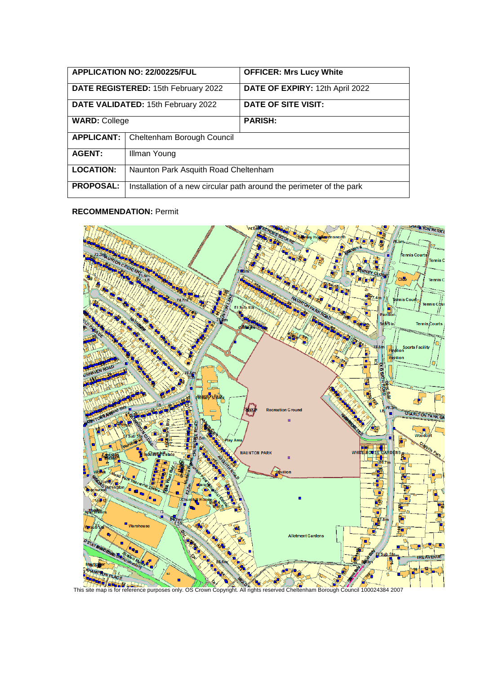| APPLICATION NO: 22/00225/FUL        |                                                                      | <b>OFFICER: Mrs Lucy White</b>  |
|-------------------------------------|----------------------------------------------------------------------|---------------------------------|
| DATE REGISTERED: 15th February 2022 |                                                                      | DATE OF EXPIRY: 12th April 2022 |
| DATE VALIDATED: 15th February 2022  |                                                                      | DATE OF SITE VISIT:             |
| <b>WARD: College</b>                |                                                                      | <b>PARISH:</b>                  |
| <b>APPLICANT:</b>                   | Cheltenham Borough Council                                           |                                 |
| <b>AGENT:</b>                       | Illman Young                                                         |                                 |
| <b>LOCATION:</b>                    | Naunton Park Asquith Road Cheltenham                                 |                                 |
| <b>PROPOSAL:</b>                    | Installation of a new circular path around the perimeter of the park |                                 |

#### **RECOMMENDATION:** Permit

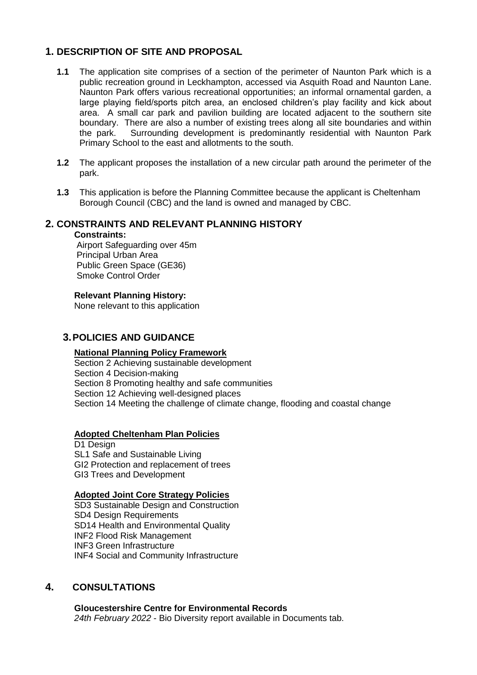# **1. DESCRIPTION OF SITE AND PROPOSAL**

- **1.1** The application site comprises of a section of the perimeter of Naunton Park which is a public recreation ground in Leckhampton, accessed via Asquith Road and Naunton Lane. Naunton Park offers various recreational opportunities; an informal ornamental garden, a large playing field/sports pitch area, an enclosed children's play facility and kick about area. A small car park and pavilion building are located adjacent to the southern site boundary. There are also a number of existing trees along all site boundaries and within the park. Surrounding development is predominantly residential with Naunton Park Primary School to the east and allotments to the south.
- **1.2** The applicant proposes the installation of a new circular path around the perimeter of the park.
- **1.3** This application is before the Planning Committee because the applicant is Cheltenham Borough Council (CBC) and the land is owned and managed by CBC.

## **2. CONSTRAINTS AND RELEVANT PLANNING HISTORY**

#### **Constraints:**

Airport Safeguarding over 45m Principal Urban Area Public Green Space (GE36) Smoke Control Order

### **Relevant Planning History:**

None relevant to this application

## **3.POLICIES AND GUIDANCE**

#### **National Planning Policy Framework**

Section 2 Achieving sustainable development Section 4 Decision-making Section 8 Promoting healthy and safe communities Section 12 Achieving well-designed places Section 14 Meeting the challenge of climate change, flooding and coastal change

### **Adopted Cheltenham Plan Policies**

D1 Design SL1 Safe and Sustainable Living GI2 Protection and replacement of trees GI3 Trees and Development

### **Adopted Joint Core Strategy Policies**

SD3 Sustainable Design and Construction SD4 Design Requirements SD14 Health and Environmental Quality INF2 Flood Risk Management INF3 Green Infrastructure INF4 Social and Community Infrastructure

## **4. CONSULTATIONS**

**Gloucestershire Centre for Environmental Records** *24th February 2022* - Bio Diversity report available in Documents tab.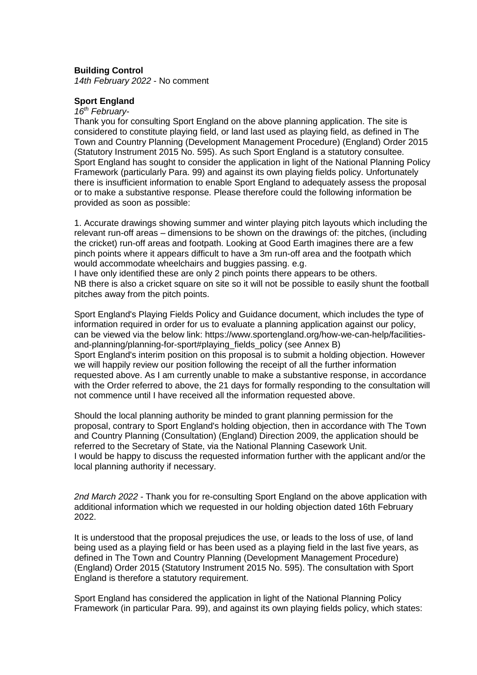#### **Building Control**

*14th February 2022* - No comment

#### **Sport England**

*16th February-*

Thank you for consulting Sport England on the above planning application. The site is considered to constitute playing field, or land last used as playing field, as defined in The Town and Country Planning (Development Management Procedure) (England) Order 2015 (Statutory Instrument 2015 No. 595). As such Sport England is a statutory consultee. Sport England has sought to consider the application in light of the National Planning Policy Framework (particularly Para. 99) and against its own playing fields policy. Unfortunately there is insufficient information to enable Sport England to adequately assess the proposal or to make a substantive response. Please therefore could the following information be provided as soon as possible:

1. Accurate drawings showing summer and winter playing pitch layouts which including the relevant run-off areas – dimensions to be shown on the drawings of: the pitches, (including the cricket) run-off areas and footpath. Looking at Good Earth imagines there are a few pinch points where it appears difficult to have a 3m run-off area and the footpath which would accommodate wheelchairs and buggies passing. e.g.

I have only identified these are only 2 pinch points there appears to be others. NB there is also a cricket square on site so it will not be possible to easily shunt the football pitches away from the pitch points.

Sport England's Playing Fields Policy and Guidance document, which includes the type of information required in order for us to evaluate a planning application against our policy, can be viewed via the below link: https://www.sportengland.org/how-we-can-help/facilitiesand-planning/planning-for-sport#playing\_fields\_policy (see Annex B) Sport England's interim position on this proposal is to submit a holding objection. However we will happily review our position following the receipt of all the further information requested above. As I am currently unable to make a substantive response, in accordance with the Order referred to above, the 21 days for formally responding to the consultation will not commence until I have received all the information requested above.

Should the local planning authority be minded to grant planning permission for the proposal, contrary to Sport England's holding objection, then in accordance with The Town and Country Planning (Consultation) (England) Direction 2009, the application should be referred to the Secretary of State, via the National Planning Casework Unit. I would be happy to discuss the requested information further with the applicant and/or the local planning authority if necessary.

*2nd March 2022* - Thank you for re-consulting Sport England on the above application with additional information which we requested in our holding objection dated 16th February 2022.

It is understood that the proposal prejudices the use, or leads to the loss of use, of land being used as a playing field or has been used as a playing field in the last five years, as defined in The Town and Country Planning (Development Management Procedure) (England) Order 2015 (Statutory Instrument 2015 No. 595). The consultation with Sport England is therefore a statutory requirement.

Sport England has considered the application in light of the National Planning Policy Framework (in particular Para. 99), and against its own playing fields policy, which states: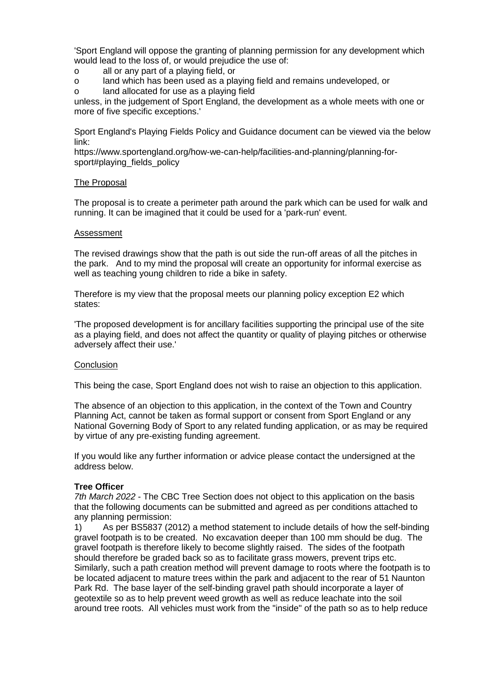'Sport England will oppose the granting of planning permission for any development which would lead to the loss of, or would prejudice the use of:

- o all or any part of a playing field, or
- o land which has been used as a playing field and remains undeveloped, or
- o land allocated for use as a playing field

unless, in the judgement of Sport England, the development as a whole meets with one or more of five specific exceptions.'

Sport England's Playing Fields Policy and Guidance document can be viewed via the below link:

https://www.sportengland.org/how-we-can-help/facilities-and-planning/planning-forsport#playing\_fields\_policy

#### The Proposal

The proposal is to create a perimeter path around the park which can be used for walk and running. It can be imagined that it could be used for a 'park-run' event.

#### Assessment

The revised drawings show that the path is out side the run-off areas of all the pitches in the park. And to my mind the proposal will create an opportunity for informal exercise as well as teaching young children to ride a bike in safety.

Therefore is my view that the proposal meets our planning policy exception E2 which states:

'The proposed development is for ancillary facilities supporting the principal use of the site as a playing field, and does not affect the quantity or quality of playing pitches or otherwise adversely affect their use.'

#### **Conclusion**

This being the case, Sport England does not wish to raise an objection to this application.

The absence of an objection to this application, in the context of the Town and Country Planning Act, cannot be taken as formal support or consent from Sport England or any National Governing Body of Sport to any related funding application, or as may be required by virtue of any pre-existing funding agreement.

If you would like any further information or advice please contact the undersigned at the address below.

#### **Tree Officer**

*7th March 2022* - The CBC Tree Section does not object to this application on the basis that the following documents can be submitted and agreed as per conditions attached to any planning permission:

1) As per BS5837 (2012) a method statement to include details of how the self-binding gravel footpath is to be created. No excavation deeper than 100 mm should be dug. The gravel footpath is therefore likely to become slightly raised. The sides of the footpath should therefore be graded back so as to facilitate grass mowers, prevent trips etc. Similarly, such a path creation method will prevent damage to roots where the footpath is to be located adjacent to mature trees within the park and adjacent to the rear of 51 Naunton Park Rd. The base layer of the self-binding gravel path should incorporate a layer of geotextile so as to help prevent weed growth as well as reduce leachate into the soil around tree roots. All vehicles must work from the "inside" of the path so as to help reduce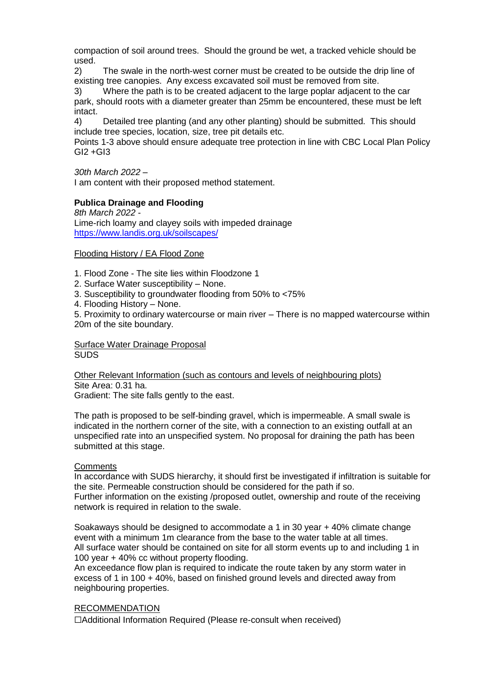compaction of soil around trees. Should the ground be wet, a tracked vehicle should be used.

2) The swale in the north-west corner must be created to be outside the drip line of existing tree canopies. Any excess excavated soil must be removed from site.

3) Where the path is to be created adjacent to the large poplar adjacent to the car park, should roots with a diameter greater than 25mm be encountered, these must be left intact.

4) Detailed tree planting (and any other planting) should be submitted. This should include tree species, location, size, tree pit details etc.

Points 1-3 above should ensure adequate tree protection in line with CBC Local Plan Policy  $GI2 + GI3$ 

*30th March 2022* –

I am content with their proposed method statement.

### **Publica Drainage and Flooding**

*8th March 2022* - Lime-rich loamy and clayey soils with impeded drainage <https://www.landis.org.uk/soilscapes/>

#### Flooding History / EA Flood Zone

- 1. Flood Zone The site lies within Floodzone 1
- 2. Surface Water susceptibility None.
- 3. Susceptibility to groundwater flooding from 50% to <75%
- 4. Flooding History None.

5. Proximity to ordinary watercourse or main river – There is no mapped watercourse within 20m of the site boundary.

#### Surface Water Drainage Proposal **SUDS**

Other Relevant Information (such as contours and levels of neighbouring plots) Site Area: 0.31 ha. Gradient: The site falls gently to the east.

The path is proposed to be self-binding gravel, which is impermeable. A small swale is indicated in the northern corner of the site, with a connection to an existing outfall at an unspecified rate into an unspecified system. No proposal for draining the path has been submitted at this stage.

### **Comments**

In accordance with SUDS hierarchy, it should first be investigated if infiltration is suitable for the site. Permeable construction should be considered for the path if so. Further information on the existing /proposed outlet, ownership and route of the receiving network is required in relation to the swale.

Soakaways should be designed to accommodate a 1 in 30 year + 40% climate change event with a minimum 1m clearance from the base to the water table at all times. All surface water should be contained on site for all storm events up to and including 1 in 100 year + 40% cc without property flooding.

An exceedance flow plan is required to indicate the route taken by any storm water in excess of 1 in 100 + 40%, based on finished ground levels and directed away from neighbouring properties.

### RECOMMENDATION

☐Additional Information Required (Please re-consult when received)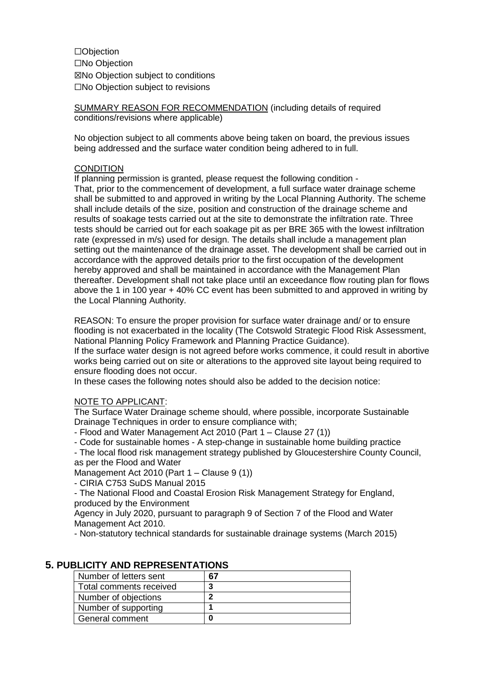☐Objection ☐No Objection ☒No Objection subject to conditions ☐No Objection subject to revisions

SUMMARY REASON FOR RECOMMENDATION (including details of required conditions/revisions where applicable)

No objection subject to all comments above being taken on board, the previous issues being addressed and the surface water condition being adhered to in full.

### **CONDITION**

If planning permission is granted, please request the following condition -

That, prior to the commencement of development, a full surface water drainage scheme shall be submitted to and approved in writing by the Local Planning Authority. The scheme shall include details of the size, position and construction of the drainage scheme and results of soakage tests carried out at the site to demonstrate the infiltration rate. Three tests should be carried out for each soakage pit as per BRE 365 with the lowest infiltration rate (expressed in m/s) used for design. The details shall include a management plan setting out the maintenance of the drainage asset. The development shall be carried out in accordance with the approved details prior to the first occupation of the development hereby approved and shall be maintained in accordance with the Management Plan thereafter. Development shall not take place until an exceedance flow routing plan for flows above the 1 in 100 year + 40% CC event has been submitted to and approved in writing by the Local Planning Authority.

REASON: To ensure the proper provision for surface water drainage and/ or to ensure flooding is not exacerbated in the locality (The Cotswold Strategic Flood Risk Assessment, National Planning Policy Framework and Planning Practice Guidance).

If the surface water design is not agreed before works commence, it could result in abortive works being carried out on site or alterations to the approved site layout being required to ensure flooding does not occur.

In these cases the following notes should also be added to the decision notice:

#### NOTE TO APPLICANT:

The Surface Water Drainage scheme should, where possible, incorporate Sustainable Drainage Techniques in order to ensure compliance with;

- Flood and Water Management Act 2010 (Part 1 – Clause 27 (1))

- Code for sustainable homes - A step-change in sustainable home building practice

- The local flood risk management strategy published by Gloucestershire County Council, as per the Flood and Water

Management Act 2010 (Part 1 – Clause 9 (1))

- CIRIA C753 SuDS Manual 2015

- The National Flood and Coastal Erosion Risk Management Strategy for England, produced by the Environment

Agency in July 2020, pursuant to paragraph 9 of Section 7 of the Flood and Water Management Act 2010.

- Non-statutory technical standards for sustainable drainage systems (March 2015)

| Number of letters sent  | 67 |
|-------------------------|----|
| Total comments received |    |
| Number of objections    |    |
| Number of supporting    |    |
| General comment         |    |

### **5. PUBLICITY AND REPRESENTATIONS**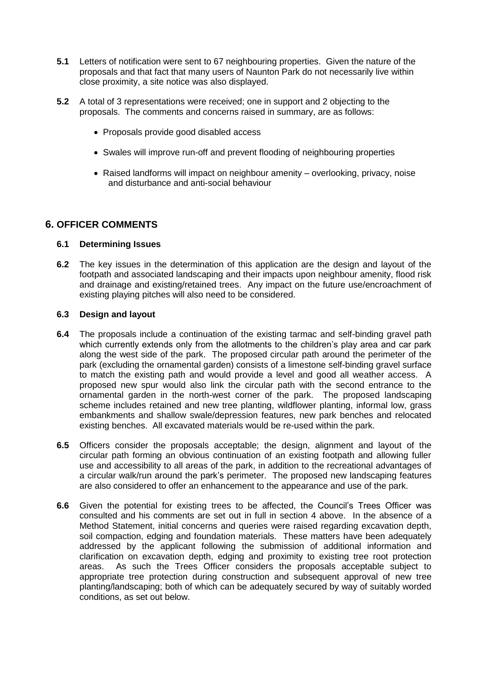- **5.1** Letters of notification were sent to 67 neighbouring properties. Given the nature of the proposals and that fact that many users of Naunton Park do not necessarily live within close proximity, a site notice was also displayed.
- **5.2** A total of 3 representations were received; one in support and 2 objecting to the proposals. The comments and concerns raised in summary, are as follows:
	- Proposals provide good disabled access
	- Swales will improve run-off and prevent flooding of neighbouring properties
	- Raised landforms will impact on neighbour amenity overlooking, privacy, noise and disturbance and anti-social behaviour

## **6. OFFICER COMMENTS**

#### **6.1 Determining Issues**

**6.2** The key issues in the determination of this application are the design and layout of the footpath and associated landscaping and their impacts upon neighbour amenity, flood risk and drainage and existing/retained trees. Any impact on the future use/encroachment of existing playing pitches will also need to be considered.

#### **6.3 Design and layout**

- **6.4** The proposals include a continuation of the existing tarmac and self-binding gravel path which currently extends only from the allotments to the children's play area and car park along the west side of the park. The proposed circular path around the perimeter of the park (excluding the ornamental garden) consists of a limestone self-binding gravel surface to match the existing path and would provide a level and good all weather access. A proposed new spur would also link the circular path with the second entrance to the ornamental garden in the north-west corner of the park. The proposed landscaping scheme includes retained and new tree planting, wildflower planting, informal low, grass embankments and shallow swale/depression features, new park benches and relocated existing benches. All excavated materials would be re-used within the park.
- **6.5** Officers consider the proposals acceptable; the design, alignment and layout of the circular path forming an obvious continuation of an existing footpath and allowing fuller use and accessibility to all areas of the park, in addition to the recreational advantages of a circular walk/run around the park's perimeter. The proposed new landscaping features are also considered to offer an enhancement to the appearance and use of the park.
- **6.6** Given the potential for existing trees to be affected, the Council's Trees Officer was consulted and his comments are set out in full in section 4 above. In the absence of a Method Statement, initial concerns and queries were raised regarding excavation depth, soil compaction, edging and foundation materials. These matters have been adequately addressed by the applicant following the submission of additional information and clarification on excavation depth, edging and proximity to existing tree root protection areas. As such the Trees Officer considers the proposals acceptable subject to appropriate tree protection during construction and subsequent approval of new tree planting/landscaping; both of which can be adequately secured by way of suitably worded conditions, as set out below.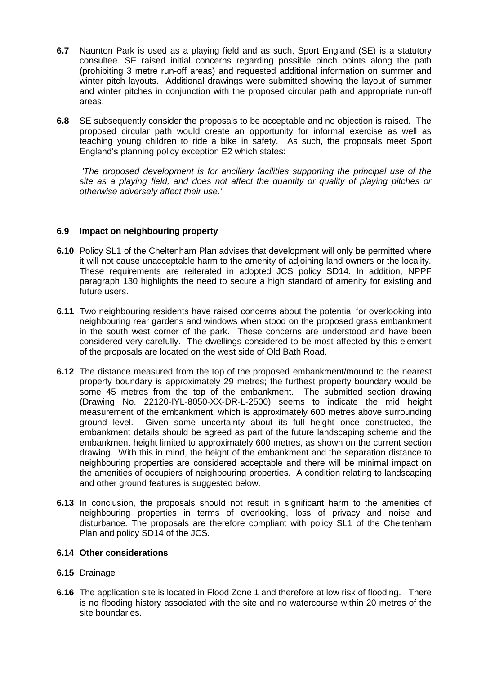- **6.7** Naunton Park is used as a playing field and as such, Sport England (SE) is a statutory consultee. SE raised initial concerns regarding possible pinch points along the path (prohibiting 3 metre run-off areas) and requested additional information on summer and winter pitch layouts. Additional drawings were submitted showing the layout of summer and winter pitches in conjunction with the proposed circular path and appropriate run-off areas.
- **6.8** SE subsequently consider the proposals to be acceptable and no objection is raised. The proposed circular path would create an opportunity for informal exercise as well as teaching young children to ride a bike in safety. As such, the proposals meet Sport England's planning policy exception E2 which states:

*'The proposed development is for ancillary facilities supporting the principal use of the site as a playing field, and does not affect the quantity or quality of playing pitches or otherwise adversely affect their use.'*

### **6.9 Impact on neighbouring property**

- **6.10** Policy SL1 of the Cheltenham Plan advises that development will only be permitted where it will not cause unacceptable harm to the amenity of adjoining land owners or the locality. These requirements are reiterated in adopted JCS policy SD14. In addition, NPPF paragraph 130 highlights the need to secure a high standard of amenity for existing and future users.
- **6.11** Two neighbouring residents have raised concerns about the potential for overlooking into neighbouring rear gardens and windows when stood on the proposed grass embankment in the south west corner of the park. These concerns are understood and have been considered very carefully. The dwellings considered to be most affected by this element of the proposals are located on the west side of Old Bath Road.
- **6.12** The distance measured from the top of the proposed embankment/mound to the nearest property boundary is approximately 29 metres; the furthest property boundary would be some 45 metres from the top of the embankment. The submitted section drawing (Drawing No. 22120-IYL-8050-XX-DR-L-2500) seems to indicate the mid height measurement of the embankment, which is approximately 600 metres above surrounding ground level. Given some uncertainty about its full height once constructed, the embankment details should be agreed as part of the future landscaping scheme and the embankment height limited to approximately 600 metres, as shown on the current section drawing. With this in mind, the height of the embankment and the separation distance to neighbouring properties are considered acceptable and there will be minimal impact on the amenities of occupiers of neighbouring properties. A condition relating to landscaping and other ground features is suggested below.
- **6.13** In conclusion, the proposals should not result in significant harm to the amenities of neighbouring properties in terms of overlooking, loss of privacy and noise and disturbance. The proposals are therefore compliant with policy SL1 of the Cheltenham Plan and policy SD14 of the JCS.

### **6.14 Other considerations**

### **6.15** Drainage

**6.16** The application site is located in Flood Zone 1 and therefore at low risk of flooding. There is no flooding history associated with the site and no watercourse within 20 metres of the site boundaries.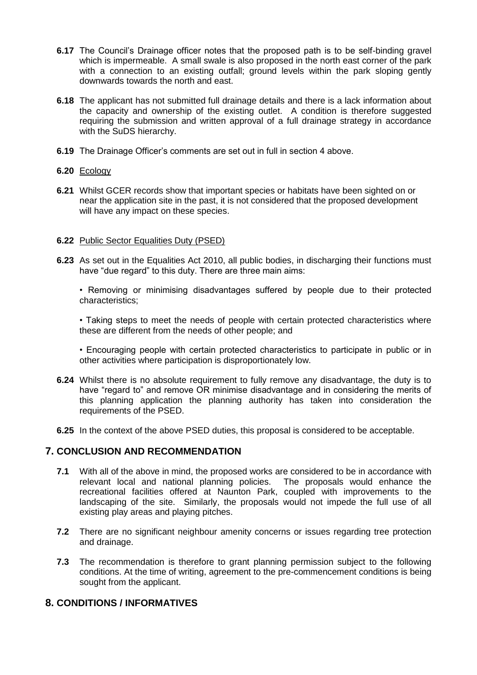- **6.17** The Council's Drainage officer notes that the proposed path is to be self-binding gravel which is impermeable. A small swale is also proposed in the north east corner of the park with a connection to an existing outfall; ground levels within the park sloping gently downwards towards the north and east.
- **6.18** The applicant has not submitted full drainage details and there is a lack information about the capacity and ownership of the existing outlet. A condition is therefore suggested requiring the submission and written approval of a full drainage strategy in accordance with the SuDS hierarchy.
- **6.19** The Drainage Officer's comments are set out in full in section 4 above.

### **6.20** Ecology

**6.21** Whilst GCER records show that important species or habitats have been sighted on or near the application site in the past, it is not considered that the proposed development will have any impact on these species.

#### **6.22** Public Sector Equalities Duty (PSED)

**6.23** As set out in the Equalities Act 2010, all public bodies, in discharging their functions must have "due regard" to this duty. There are three main aims:

• Removing or minimising disadvantages suffered by people due to their protected characteristics;

• Taking steps to meet the needs of people with certain protected characteristics where these are different from the needs of other people; and

• Encouraging people with certain protected characteristics to participate in public or in other activities where participation is disproportionately low.

- **6.24** Whilst there is no absolute requirement to fully remove any disadvantage, the duty is to have "regard to" and remove OR minimise disadvantage and in considering the merits of this planning application the planning authority has taken into consideration the requirements of the PSED.
- **6.25** In the context of the above PSED duties, this proposal is considered to be acceptable.

### **7. CONCLUSION AND RECOMMENDATION**

- **7.1** With all of the above in mind, the proposed works are considered to be in accordance with relevant local and national planning policies. The proposals would enhance the recreational facilities offered at Naunton Park, coupled with improvements to the landscaping of the site. Similarly, the proposals would not impede the full use of all existing play areas and playing pitches.
- **7.2** There are no significant neighbour amenity concerns or issues regarding tree protection and drainage.
- **7.3** The recommendation is therefore to grant planning permission subject to the following conditions. At the time of writing, agreement to the pre-commencement conditions is being sought from the applicant.

## **8. CONDITIONS / INFORMATIVES**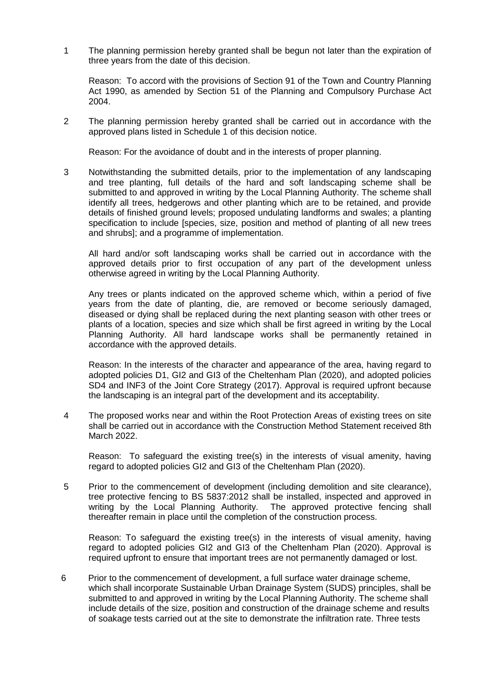1 The planning permission hereby granted shall be begun not later than the expiration of three years from the date of this decision.

Reason: To accord with the provisions of Section 91 of the Town and Country Planning Act 1990, as amended by Section 51 of the Planning and Compulsory Purchase Act 2004.

2 The planning permission hereby granted shall be carried out in accordance with the approved plans listed in Schedule 1 of this decision notice.

Reason: For the avoidance of doubt and in the interests of proper planning.

3 Notwithstanding the submitted details, prior to the implementation of any landscaping and tree planting, full details of the hard and soft landscaping scheme shall be submitted to and approved in writing by the Local Planning Authority. The scheme shall identify all trees, hedgerows and other planting which are to be retained, and provide details of finished ground levels; proposed undulating landforms and swales; a planting specification to include [species, size, position and method of planting of all new trees and shrubs]; and a programme of implementation.

All hard and/or soft landscaping works shall be carried out in accordance with the approved details prior to first occupation of any part of the development unless otherwise agreed in writing by the Local Planning Authority.

Any trees or plants indicated on the approved scheme which, within a period of five years from the date of planting, die, are removed or become seriously damaged, diseased or dying shall be replaced during the next planting season with other trees or plants of a location, species and size which shall be first agreed in writing by the Local Planning Authority. All hard landscape works shall be permanently retained in accordance with the approved details.

Reason: In the interests of the character and appearance of the area, having regard to adopted policies D1, GI2 and GI3 of the Cheltenham Plan (2020), and adopted policies SD4 and INF3 of the Joint Core Strategy (2017). Approval is required upfront because the landscaping is an integral part of the development and its acceptability.

4 The proposed works near and within the Root Protection Areas of existing trees on site shall be carried out in accordance with the Construction Method Statement received 8th March 2022.

Reason: To safeguard the existing tree(s) in the interests of visual amenity, having regard to adopted policies GI2 and GI3 of the Cheltenham Plan (2020).

5 Prior to the commencement of development (including demolition and site clearance), tree protective fencing to BS 5837:2012 shall be installed, inspected and approved in writing by the Local Planning Authority. The approved protective fencing shall thereafter remain in place until the completion of the construction process.

Reason: To safeguard the existing tree(s) in the interests of visual amenity, having regard to adopted policies GI2 and GI3 of the Cheltenham Plan (2020). Approval is required upfront to ensure that important trees are not permanently damaged or lost.

6 Prior to the commencement of development, a full surface water drainage scheme, which shall incorporate Sustainable Urban Drainage System (SUDS) principles, shall be submitted to and approved in writing by the Local Planning Authority. The scheme shall include details of the size, position and construction of the drainage scheme and results of soakage tests carried out at the site to demonstrate the infiltration rate. Three tests